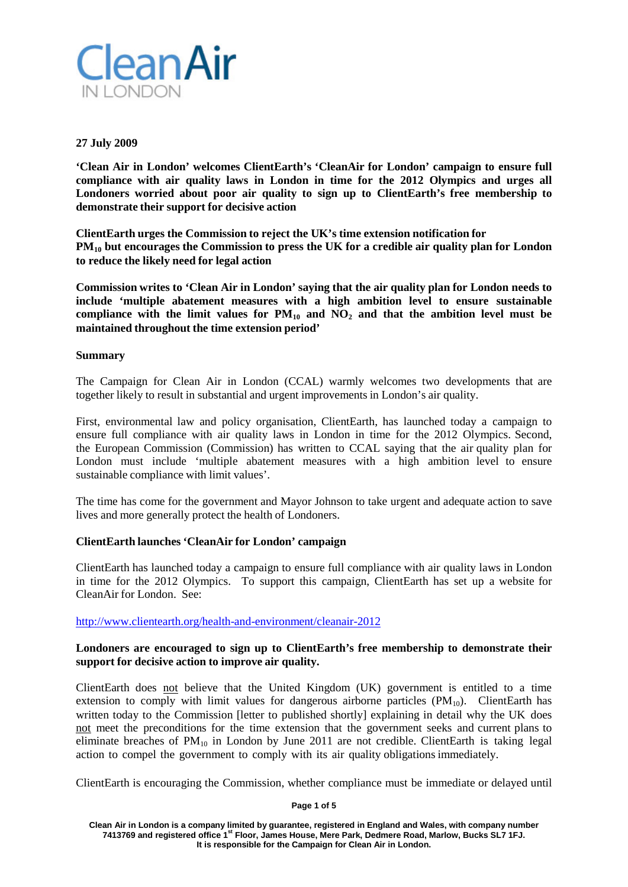

#### **27 July 2009**

**'Clean Air in London' welcomes ClientEarth's 'CleanAir for London' campaign to ensure full compliance with air quality laws in London in time for the 2012 Olympics and urges all Londoners worried about poor air quality to sign up to ClientEarth's free membership to demonstrate their support for decisive action**

**ClientEarth urges the Commission to reject the UK's time extension notification for PM10 but encourages the Commission to press the UK for a credible air quality plan for London to reduce the likely need for legal action**

**Commission writes to 'Clean Air in London' saying that the air quality plan for London needs to include 'multiple abatement measures with a high ambition level to ensure sustainable compliance with the limit values for PM10 and NO2 and that the ambition level must be maintained throughout the time extension period'**

#### **Summary**

The Campaign for Clean Air in London (CCAL) warmly welcomes two developments that are together likely to result in substantial and urgent improvements in London's air quality.

First, environmental law and policy organisation, ClientEarth, has launched today a campaign to ensure full compliance with air quality laws in London in time for the 2012 Olympics. Second, the European Commission (Commission) has written to CCAL saying that the air quality plan for London must include 'multiple abatement measures with a high ambition level to ensure sustainable compliance with limit values'.

The time has come for the government and Mayor Johnson to take urgent and adequate action to save lives and more generally protect the health of Londoners.

# **ClientEarth launches 'CleanAir for London' campaign**

ClientEarth has launched today a campaign to ensure full compliance with air quality laws in London in time for the 2012 Olympics. To support this campaign, ClientEarth has set up a website for CleanAir for London. See:

<http://www.clientearth.org/health-and-environment/cleanair-2012>

# **Londoners are encouraged to sign up to ClientEarth's free membership to demonstrate their support for decisive action to improve air quality.**

ClientEarth does not believe that the United Kingdom (UK) government is entitled to a time extension to comply with limit values for dangerous airborne particles  $(PM_{10})$ . ClientEarth has written today to the Commission [letter to published shortly] explaining in detail why the UK does not meet the preconditions for the time extension that the government seeks and current plans to eliminate breaches of  $PM_{10}$  in London by June 2011 are not credible. ClientEarth is taking legal action to compel the government to comply with its air quality obligations immediately.

ClientEarth is encouraging the Commission, whether compliance must be immediate or delayed until

#### **Page 1 of 5**

**Clean Air in London is a company limited by guarantee, registered in England and Wales, with company number 7413769 and registered office 1st Floor, James House, Mere Park, Dedmere Road, Marlow, Bucks SL7 1FJ. It is responsible for the Campaign for Clean Air in London.**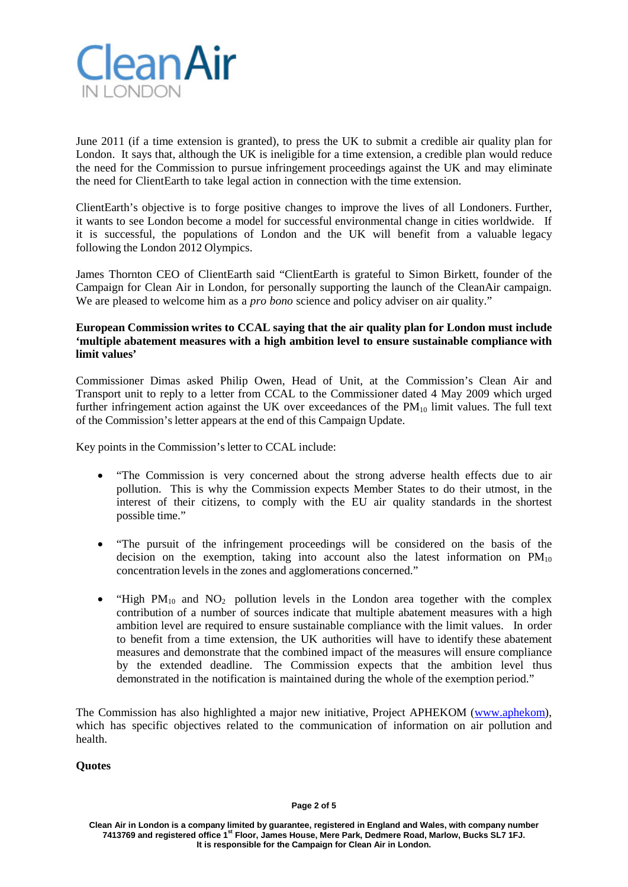

June 2011 (if a time extension is granted), to press the UK to submit a credible air quality plan for London. It says that, although the UK is ineligible for a time extension, a credible plan would reduce the need for the Commission to pursue infringement proceedings against the UK and may eliminate the need for ClientEarth to take legal action in connection with the time extension.

ClientEarth's objective is to forge positive changes to improve the lives of all Londoners. Further, it wants to see London become a model for successful environmental change in cities worldwide. If it is successful, the populations of London and the UK will benefit from a valuable legacy following the London 2012 Olympics.

James Thornton CEO of ClientEarth said "ClientEarth is grateful to Simon Birkett, founder of the Campaign for Clean Air in London, for personally supporting the launch of the CleanAir campaign. We are pleased to welcome him as a *pro bono* science and policy adviser on air quality."

# **European Commission writes to CCAL saying that the air quality plan for London must include 'multiple abatement measures with a high ambition level to ensure sustainable compliance with limit values'**

Commissioner Dimas asked Philip Owen, Head of Unit, at the Commission's Clean Air and Transport unit to reply to a letter from CCAL to the Commissioner dated 4 May 2009 which urged further infringement action against the UK over exceedances of the  $PM_{10}$  limit values. The full text of the Commission'sletter appears at the end of this Campaign Update.

Key points in the Commission's letter to CCAL include:

- "The Commission is very concerned about the strong adverse health effects due to air pollution. This is why the Commission expects Member States to do their utmost, in the interest of their citizens, to comply with the EU air quality standards in the shortest possible time."
- "The pursuit of the infringement proceedings will be considered on the basis of the decision on the exemption, taking into account also the latest information on  $PM_{10}$ concentration levels in the zones and agglomerations concerned."
- "High  $PM_{10}$  and  $NO_2$  pollution levels in the London area together with the complex contribution of a number of sources indicate that multiple abatement measures with a high ambition level are required to ensure sustainable compliance with the limit values. In order to benefit from a time extension, the UK authorities will have to identify these abatement measures and demonstrate that the combined impact of the measures will ensure compliance by the extended deadline. The Commission expects that the ambition level thus demonstrated in the notification is maintained during the whole of the exemption period."

The Commission has also highlighted a major new initiative, Project APHEKOM (www.aphekom), which has specific objectives related to the communication of information on air pollution and health.

# **Quotes**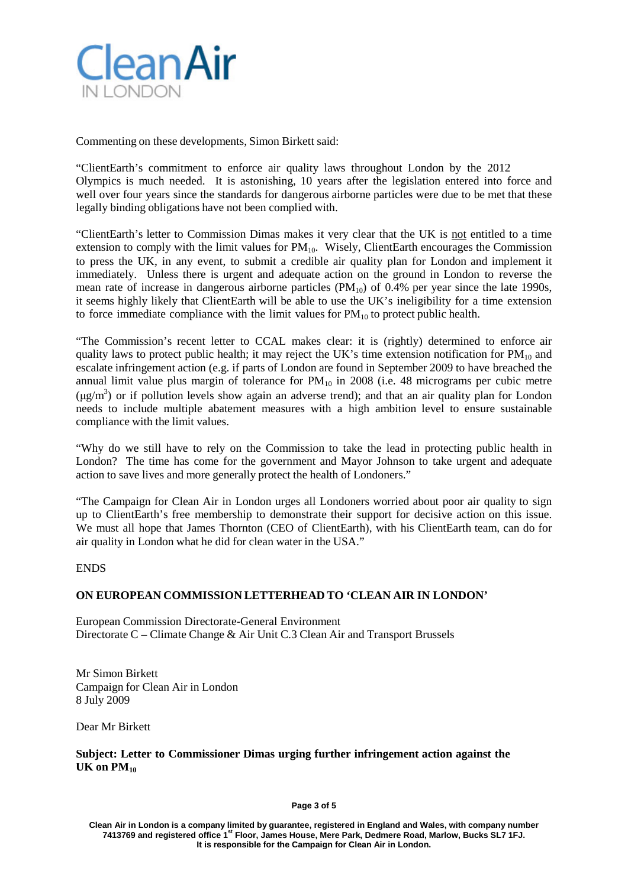

Commenting on these developments, Simon Birkett said:

"ClientEarth's commitment to enforce air quality laws throughout London by the 2012 Olympics is much needed. It is astonishing, 10 years after the legislation entered into force and well over four years since the standards for dangerous airborne particles were due to be met that these legally binding obligations have not been complied with.

"ClientEarth's letter to Commission Dimas makes it very clear that the UK is not entitled to a time extension to comply with the limit values for  $PM_{10}$ . Wisely, ClientEarth encourages the Commission to press the UK, in any event, to submit a credible air quality plan for London and implement it immediately. Unless there is urgent and adequate action on the ground in London to reverse the mean rate of increase in dangerous airborne particles  $(PM_{10})$  of 0.4% per year since the late 1990s, it seems highly likely that ClientEarth will be able to use the UK's ineligibility for a time extension to force immediate compliance with the limit values for  $PM_{10}$  to protect public health.

"The Commission's recent letter to CCAL makes clear: it is (rightly) determined to enforce air quality laws to protect public health; it may reject the UK's time extension notification for  $PM_{10}$  and escalate infringement action (e.g. if parts of London are found in September 2009 to have breached the annual limit value plus margin of tolerance for  $PM_{10}$  in 2008 (i.e. 48 micrograms per cubic metre  $(\mu g/m<sup>3</sup>)$  or if pollution levels show again an adverse trend); and that an air quality plan for London needs to include multiple abatement measures with a high ambition level to ensure sustainable compliance with the limit values.

"Why do we still have to rely on the Commission to take the lead in protecting public health in London? The time has come for the government and Mayor Johnson to take urgent and adequate action to save lives and more generally protect the health of Londoners."

"The Campaign for Clean Air in London urges all Londoners worried about poor air quality to sign up to ClientEarth's free membership to demonstrate their support for decisive action on this issue. We must all hope that James Thornton (CEO of ClientEarth), with his ClientEarth team, can do for air quality in London what he did for clean water in the USA."

# ENDS

# **ON EUROPEAN COMMISSION LETTERHEAD TO 'CLEAN AIR IN LONDON'**

European Commission Directorate-General Environment Directorate C – Climate Change & Air Unit C.3 Clean Air and Transport Brussels

Mr Simon Birkett Campaign for Clean Air in London 8 July 2009

Dear Mr Birkett

**Subject: Letter to Commissioner Dimas urging further infringement action against the UK on PM10**

**Page 3 of 5**

**Clean Air in London is a company limited by guarantee, registered in England and Wales, with company number 7413769 and registered office 1st Floor, James House, Mere Park, Dedmere Road, Marlow, Bucks SL7 1FJ. It is responsible for the Campaign for Clean Air in London.**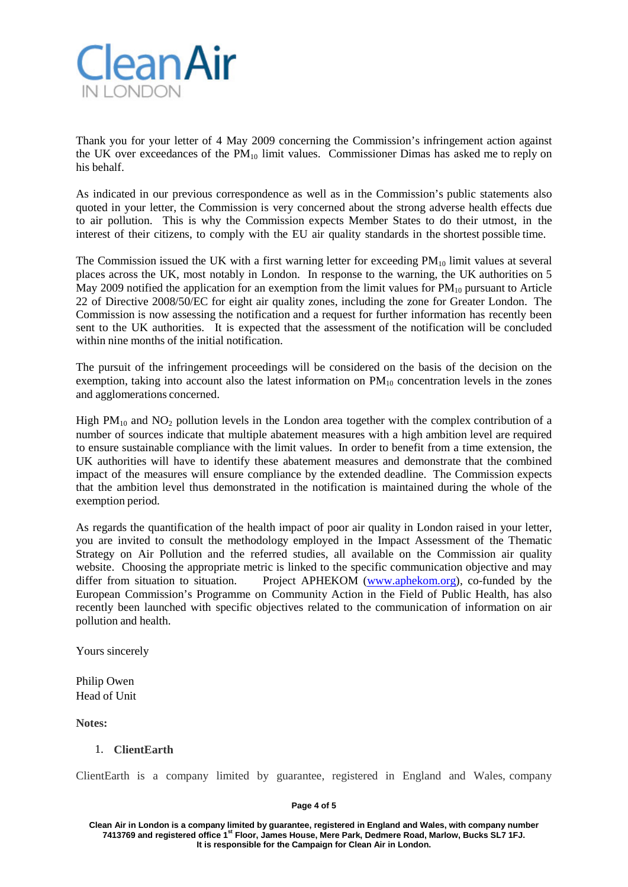

Thank you for your letter of 4 May 2009 concerning the Commission's infringement action against the UK over exceedances of the  $PM_{10}$  limit values. Commissioner Dimas has asked me to reply on his behalf.

As indicated in our previous correspondence as well as in the Commission's public statements also quoted in your letter, the Commission is very concerned about the strong adverse health effects due to air pollution. This is why the Commission expects Member States to do their utmost, in the interest of their citizens, to comply with the EU air quality standards in the shortest possible time.

The Commission issued the UK with a first warning letter for exceeding  $PM_{10}$  limit values at several places across the UK, most notably in London. In response to the warning, the UK authorities on 5 May 2009 notified the application for an exemption from the limit values for  $PM_{10}$  pursuant to Article 22 of Directive 2008/50/EC for eight air quality zones, including the zone for Greater London. The Commission is now assessing the notification and a request for further information has recently been sent to the UK authorities. It is expected that the assessment of the notification will be concluded within nine months of the initial notification.

The pursuit of the infringement proceedings will be considered on the basis of the decision on the exemption, taking into account also the latest information on  $PM_{10}$  concentration levels in the zones and agglomerations concerned.

High  $PM_{10}$  and  $NO_2$  pollution levels in the London area together with the complex contribution of a number of sources indicate that multiple abatement measures with a high ambition level are required to ensure sustainable compliance with the limit values. In order to benefit from a time extension, the UK authorities will have to identify these abatement measures and demonstrate that the combined impact of the measures will ensure compliance by the extended deadline. The Commission expects that the ambition level thus demonstrated in the notification is maintained during the whole of the exemption period.

As regards the quantification of the health impact of poor air quality in London raised in your letter, you are invited to consult the methodology employed in the Impact Assessment of the Thematic Strategy on Air Pollution and the referred studies, all available on the Commission air quality website. Choosing the appropriate metric is linked to the specific communication objective and may differ from situation to situation. Project APHEKOM (www.aphekom.org), co-funded by the European Commission's Programme on Community Action in the Field of Public Health, has also recently been launched with specific objectives related to the communication of information on air pollution and health.

Yours sincerely

Philip Owen Head of Unit

**Notes:**

# 1. **ClientEarth**

ClientEarth is a company limited by guarantee, registered in England and Wales, company